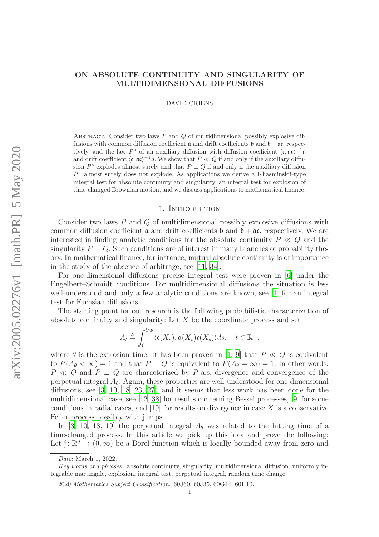# ON ABSOLUTE CONTINUITY AND SINGULARITY OF MULTIDIMENSIONAL DIFFUSIONS

DAVID CRIENS

ABSTRACT. Consider two laws  $P$  and  $Q$  of multidimensional possibly explosive diffusions with common diffusion coefficient  $\mathfrak a$  and drift coefficients  $\mathfrak b$  and  $\mathfrak b + \mathfrak a \mathfrak c$ , respectively, and the law P° of an auxiliary diffusion with diffusion coefficient  $\langle \mathfrak{c}, \mathfrak{a} \mathfrak{c} \rangle^{-1} \mathfrak{a}$ and drift coefficient  $\langle \mathfrak{c}, \mathfrak{ac} \rangle^{-1} \mathfrak{b}$ . We show that  $P \ll Q$  if and only if the auxiliary diffusion  $P^{\circ}$  explodes almost surely and that  $P \perp Q$  if and only if the auxiliary diffusion P° almost surely does not explode. As applications we derive a Khasminskii-type integral test for absolute continuity and singularity, an integral test for explosion of time-changed Brownian motion, and we discuss applications to mathematical finance.

#### 1. INTRODUCTION

Consider two laws P and Q of multidimensional possibly explosive diffusions with common diffusion coefficient  $\alpha$  and drift coefficients  $\beta$  and  $\beta + \alpha \zeta$ , respectively. We are interested in finding analytic conditions for the absolute continuity  $P \ll Q$  and the singularity  $P \perp Q$ . Such conditions are of interest in many branches of probability theory. In mathematical finance, for instance, mutual absolute continuity is of importance in the study of the absence of arbitrage, see [\[11,](#page-17-0) [34](#page-18-0)].

For one-dimensional diffusions precise integral test were proven in [\[6](#page-17-1)] under the Engelbert–Schmidt conditions. For multidimensional diffusions the situation is less well-understood and only a few analytic conditions are known, see [\[1\]](#page-17-2) for an integral test for Fuchsian diffusions.

The starting point for our research is the following probabilistic characterization of absolute continuity and singularity: Let  $X$  be the coordinate process and set

$$
A_t\triangleq\int_0^{t\wedge\theta}\langle \mathfrak{c}(X_s),\mathfrak{a}(X_s)\mathfrak{c}(X_s)\rangle ds,\quad t\in\mathbb{R}_+,
$$

where  $\theta$  is the explosion time. It has been proven in [\[1,](#page-17-2) [9\]](#page-17-3) that  $P \ll Q$  is equivalent to  $P(A_\theta < \infty) = 1$  and that  $P \perp Q$  is equivalent to  $P(A_\theta = \infty) = 1$ . In other words,  $P \ll Q$  and  $P \perp Q$  are characterized by P-a.s. divergence and convergence of the perpetual integral  $A_{\theta}$ . Again, these properties are well-understood for one-dimensional diffusions, see [\[3](#page-17-4), [10,](#page-17-5) [18,](#page-18-1) [23](#page-18-2), [27\]](#page-18-3), and it seems that less work has been done for the multidimensional case, see [12, 38] for results concerning Bessel processes, [\[9](#page-17-3)] for some conditions in radial cases, and  $[19]$  for results on divergence in case X is a conservative Feller process possibly with jumps.

In [\[3,](#page-17-4) [10,](#page-17-5) [18](#page-18-1), [19\]](#page-18-4) the perpetual integral  $A_{\theta}$  was related to the hitting time of a time-changed process. In this article we pick up this idea and prove the following: Let  $\mathfrak{f} \colon \mathbb{R}^d \to (0, \infty)$  be a Borel function which is locally bounded away from zero and

Date: March 1, 2022.

Key words and phrases. absolute continuity, singularity, multidimensional diffusion, uniformly integrable martingale, explosion, integral test, perpetual integral, random time change.

<sup>2020</sup> Mathematics Subject Classification. 60J60, 60J35, 60G44, 60H10.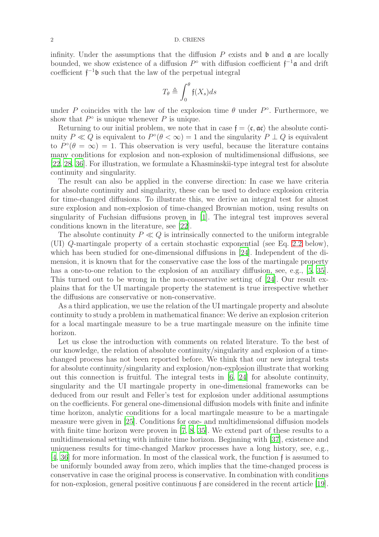infinity. Under the assumptions that the diffusion  $P$  exists and  $\mathfrak b$  and  $\mathfrak a$  are locally bounded, we show existence of a diffusion  $P^{\circ}$  with diffusion coefficient  $f^{-1}\mathfrak{a}$  and drift coefficient  $f^{-1}b$  such that the law of the perpetual integral

$$
T_{\theta} \triangleq \int_0^{\theta} \mathfrak{f}(X_s) ds
$$

under P coincides with the law of the explosion time  $\theta$  under  $P^{\circ}$ . Furthermore, we show that  $P^{\circ}$  is unique whenever P is unique.

Returning to our initial problem, we note that in case  $f = \langle \mathfrak{c}, \mathfrak{a} \mathfrak{c} \rangle$  the absolute continuity  $P \ll Q$  is equivalent to  $P^{\circ}(\theta < \infty) = 1$  and the singularity  $P \perp Q$  is equivalent to  $P^{\circ}(\theta = \infty) = 1$ . This observation is very useful, because the literature contains many conditions for explosion and non-explosion of multidimensional diffusions, see [\[22](#page-18-5), [28](#page-18-6), [36\]](#page-18-7). For illustration, we formulate a Khasminskii-type integral test for absolute continuity and singularity.

The result can also be applied in the converse direction: In case we have criteria for absolute continuity and singularity, these can be used to deduce explosion criteria for time-changed diffusions. To illustrate this, we derive an integral test for almost sure explosion and non-explosion of time-changed Brownian motion, using results on singularity of Fuchsian diffusions proven in [\[1](#page-17-2)]. The integral test improves several conditions known in the literature, see [\[22\]](#page-18-5).

The absolute continuity  $P \ll Q$  is intrinsically connected to the uniform integrable (UI) Q-martingale property of a certain stochastic exponential (see Eq. [2.2](#page-4-0) below), which has been studied for one-dimensional diffusions in [24]. Independent of the dimension, it is known that for the conservative case the loss of the martingale property has a one-to-one relation to the explosion of an auxiliary diffusion, see, e.g., [\[5,](#page-17-6) [35](#page-18-8)]. This turned out to be wrong in the non-conservative setting of [24]. Our result explains that for the UI martingale property the statement is true irrespective whether the diffusions are conservative or non-conservative.

As a third application, we use the relation of the UI martingale property and absolute continuity to study a problem in mathematical finance: We derive an explosion criterion for a local martingale measure to be a true martingale measure on the infinite time horizon.

Let us close the introduction with comments on related literature. To the best of our knowledge, the relation of absolute continuity/singularity and explosion of a timechanged process has not been reported before. We think that our new integral tests for absolute continuity/singularity and explosion/non-explosion illustrate that working out this connection is fruitful. The integral tests in [\[6](#page-17-1), 24] for absolute continuity, singularity and the UI martingale property in one-dimensional frameworks can be deduced from our result and Feller's test for explosion under additional assumptions on the coefficients. For general one-dimensional diffusion models with finite and infinite time horizon, analytic conditions for a local martingale measure to be a martingale measure were given in [\[25](#page-18-9)]. Conditions for one- and multidimensional diffusion models with finite time horizon were proven in [7, [8,](#page-17-7) [35\]](#page-18-8). We extend part of these results to a multidimensional setting with infinite time horizon. Beginning with [37], existence and uniqueness results for time-changed Markov processes have a long history, see, e.g., [\[4](#page-17-8), [36\]](#page-18-7) for more information. In most of the classical work, the function f is assumed to be uniformly bounded away from zero, which implies that the time-changed process is conservative in case the original process is conservative. In combination with conditions for non-explosion, general positive continuous f are considered in the recent article [\[19](#page-18-4)].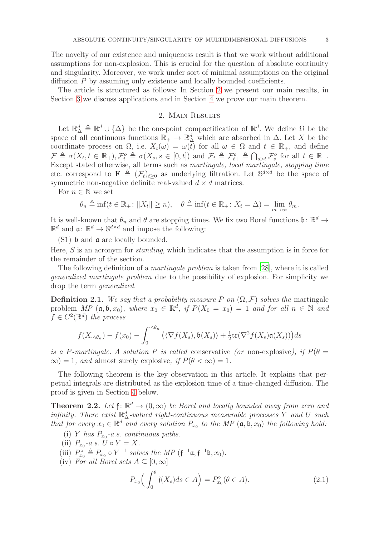The novelty of our existence and uniqueness result is that we work without additional assumptions for non-explosion. This is crucial for the question of absolute continuity and singularity. Moreover, we work under sort of minimal assumptions on the original diffusion P by assuming only existence and locally bounded coefficients.

<span id="page-2-0"></span>The article is structured as follows: In Section [2](#page-2-0) we present our main results, in Section [3](#page-5-0) we discuss applications and in Section [4](#page-9-0) we prove our main theorem.

# 2. Main Results

Let  $\mathbb{R}^d$   $\triangleq$   $\mathbb{R}^d \cup {\{\Delta\}}$  be the one-point compactification of  $\mathbb{R}^d$ . We define  $\Omega$  be the space of all continuous functions  $\mathbb{R}_+ \to \mathbb{R}^d_\Delta$  which are absorbed in  $\Delta$ . Let X be the coordinate process on  $\Omega$ , i.e.  $X_t(\omega) = \omega(t)$  for all  $\omega \in \Omega$  and  $t \in \mathbb{R}_+$ , and define  $\mathcal{F} \triangleq \sigma(X_t, t \in \mathbb{R}_+), \mathcal{F}^o_t \triangleq \sigma(X_s, s \in [0, t])$  and  $\mathcal{F}_t \triangleq \mathcal{F}^o_{t+} \triangleq \bigcap_{s>t} \mathcal{F}^o_s$  for all  $t \in \mathbb{R}_+$ . s Except stated otherwise, all terms such as martingale, local martingale, stopping time etc. correspond to  $\mathbf{F} \triangleq (\mathcal{F}_t)_{t\geq 0}$  as underlying filtration. Let  $\mathbb{S}^{d \times d}$  be the space of symmetric non-negative definite real-valued  $d \times d$  matrices.

For  $n \in \mathbb{N}$  we set

$$
\theta_n \triangleq \inf(t \in \mathbb{R}_+ : ||X_t|| \geq n), \quad \theta \triangleq \inf(t \in \mathbb{R}_+ : X_t = \Delta) = \lim_{m \to \infty} \theta_m.
$$

It is well-known that  $\theta_n$  and  $\theta$  are stopping times. We fix two Borel functions  $\mathfrak{b}: \mathbb{R}^d \to$  $\mathbb{R}^d$  and  $\mathfrak{a} \colon \mathbb{R}^d \to \mathbb{S}^{d \times d}$  and impose the following:

(S1) b and a are locally bounded.

Here,  $S$  is an acronym for *standing*, which indicates that the assumption is in force for the remainder of the section.

The following definition of a *martingale problem* is taken from [\[28\]](#page-18-6), where it is called generalized martingale problem due to the possibility of explosion. For simplicity we drop the term generalized.

**Definition 2.1.** We say that a probability measure P on  $(\Omega, \mathcal{F})$  solves the martingale problem  $MP$  ( $\mathfrak{a}, \mathfrak{b}, x_0$ ), where  $x_0 \in \mathbb{R}^d$ , if  $P(X_0 = x_0) = 1$  and for all  $n \in \mathbb{N}$  and  $f \in C^2(\mathbb{R}^d)$  the process

$$
f(X_{\cdot\wedge\theta_n}) - f(x_0) - \int_0^{\cdot\wedge\theta_n} \left( \langle \nabla f(X_s), \mathfrak{b}(X_s) \rangle + \frac{1}{2} \text{tr}(\nabla^2 f(X_s) \mathfrak{a}(X_s)) \right) ds
$$

is a P-martingale. A solution P is called conservative (or non-explosive), if  $P(\theta =$  $\infty$ ) = 1, and almost surely explosive, if  $P(\theta < \infty) = 1$ .

The following theorem is the key observation in this article. It explains that perpetual integrals are distributed as the explosion time of a time-changed diffusion. The proof is given in Section [4](#page-9-0) below.

<span id="page-2-2"></span>**Theorem 2.2.** Let  $f: \mathbb{R}^d \to (0, \infty)$  be Borel and locally bounded away from zero and infinity. There exist  $\mathbb{R}^d_\Delta$ -valued right-continuous measurable processes Y and U such that for every  $x_0 \in \mathbb{R}^d$  and every solution  $P_{x_0}$  to the MP  $(\mathfrak{a}, \mathfrak{b}, x_0)$  the following hold:

- (i) Y has  $P_{x_0}$ -a.s. continuous paths.
- (ii)  $P_{x_0}$ -a.s.  $U \circ Y = X$ .
- (iii)  $P_{x_0}^{\circ} \triangleq P_{x_0} \circ Y^{-1}$  solves the MP  $(\mathfrak{f}^{-1}\mathfrak{a}, \mathfrak{f}^{-1}\mathfrak{b}, x_0)$ .
- (iv) For all Borel sets  $A \subseteq [0, \infty]$

<span id="page-2-1"></span>
$$
P_{x_0}\Big(\int_0^\theta \mathfrak{f}(X_s)ds \in A\Big) = P_{x_0}^\circ(\theta \in A). \tag{2.1}
$$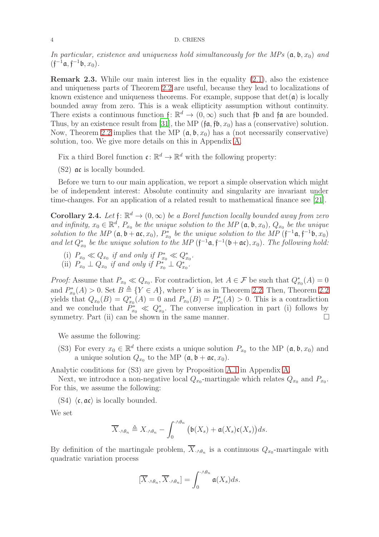In particular, existence and uniqueness hold simultaneously for the MPs  $(a, b, x_0)$  and  $(f^{-1}a, f^{-1}b, x_0).$ 

Remark 2.3. While our main interest lies in the equality [\(2.1\)](#page-2-1), also the existence and uniqueness parts of Theorem [2.2](#page-2-2) are useful, because they lead to localizations of known existence and uniqueness theorems. For example, suppose that  $\det(\mathfrak{a})$  is locally bounded away from zero. This is a weak ellipticity assumption without continuity. There exists a continuous function  $f: \mathbb{R}^d \to (0, \infty)$  such that  $f\mathfrak{b}$  and  $f\mathfrak{a}$  are bounded. Thus, by an existence result from [\[31\]](#page-18-10), the MP ( $\mathfrak{fa}, \mathfrak{fb}, x_0$ ) has a (conservative) solution. Now, Theorem [2.2](#page-2-2) implies that the MP  $(a, b, x_0)$  has a (not necessarily conservative) solution, too. We give more details on this in Appendix [A.](#page-16-0)

Fix a third Borel function  $\mathfrak{c} \colon \mathbb{R}^d \to \mathbb{R}^d$  with the following property:

(S2) ac is locally bounded.

Before we turn to our main application, we report a simple observation which might be of independent interest: Absolute continuity and singularity are invariant under time-changes. For an application of a related result to mathematical finance see [21].

**Corollary 2.4.** Let  $f: \mathbb{R}^d \to (0, \infty)$  be a Borel function locally bounded away from zero and infinity,  $x_0 \in \mathbb{R}^d$ ,  $P_{x_0}$  be the unique solution to the MP  $(\mathfrak{a}, \mathfrak{b}, x_0)$ ,  $Q_{x_0}$  be the unique solution to the MP  $(\mathfrak{a}, \mathfrak{b} + \mathfrak{a} \mathfrak{c}, x_0)$ ,  $P_{x_0}^*$  be the unique solution to the MP  $(\mathfrak{f}^{-1}\mathfrak{a}, \mathfrak{f}^{-1}\mathfrak{b}, x_0)$ and let  $Q_{x_0}^*$  be the unique solution to the MP  $(\mathfrak{f}^{-1}\mathfrak{a}, \mathfrak{f}^{-1}(\mathfrak{b}+\mathfrak{a} \mathfrak{c}), x_0)$ . The following hold:

- (i)  $P_{x_0} \ll Q_{x_0}$  if and only if  $P_{x_0}^* \ll Q_{x_0}^*$ .
- (ii)  $P_{x_0} \perp Q_{x_0}$  if and only if  $P_{x_0}^* \perp Q_{x_0}^*$ .

*Proof:* Assume that  $P_{x_0} \ll Q_{x_0}$ . For contradiction, let  $A \in \mathcal{F}$  be such that  $Q_{x_0}^*(A) = 0$ and  $P_{x_0}^*(A) > 0$ . Set  $B \triangleq \{Y \in A\}$ , where Y is as in Theorem [2.2.](#page-2-2) Then, Theorem [2.2](#page-2-2). yields that  $Q_{x_0}(B) = Q_{x_0}^*(A) = 0$  and  $P_{x_0}(B) = P_{x_0}^*(A) > 0$ . This is a contradiction and we conclude that  $P_{x_0}^* \ll Q_{x_0}^*$ . The converse implication in part (i) follows by symmetry. Part (ii) can be shown in the same manner.  $\square$ 

We assume the following:

(S3) For every  $x_0 \in \mathbb{R}^d$  there exists a unique solution  $P_{x_0}$  to the MP  $(\mathfrak{a}, \mathfrak{b}, x_0)$  and a unique solution  $Q_{x_0}$  to the MP  $(\mathfrak{a}, \mathfrak{b} + \mathfrak{a} \mathfrak{c}, x_0)$ .

Analytic conditions for (S3) are given by Proposition [A.1](#page-16-1) in Appendix [A.](#page-16-0)

Next, we introduce a non-negative local  $Q_{x_0}$ -martingale which relates  $Q_{x_0}$  and  $P_{x_0}$ . For this, we assume the following:

(S4)  $\langle \mathfrak{c}, \mathfrak{a} \mathfrak{c} \rangle$  is locally bounded.

We set

$$
\overline{X}_{\cdot \wedge \theta_n} \triangleq X_{\cdot \wedge \theta_n} - \int_0^{\cdot \wedge \theta_n} \big( \mathfrak{b}(X_s) + \mathfrak{a}(X_s) \mathfrak{c}(X_s) \big) ds.
$$

By definition of the martingale problem,  $X_{\cdot\wedge\theta_n}$  is a continuous  $Q_{x_0}$ -martingale with quadratic variation process

$$
[\overline{X}_{\cdot \wedge \theta_n}, \overline{X}_{\cdot \wedge \theta_n}] = \int_0^{\cdot \wedge \theta_n} \mathfrak{a}(X_s) ds.
$$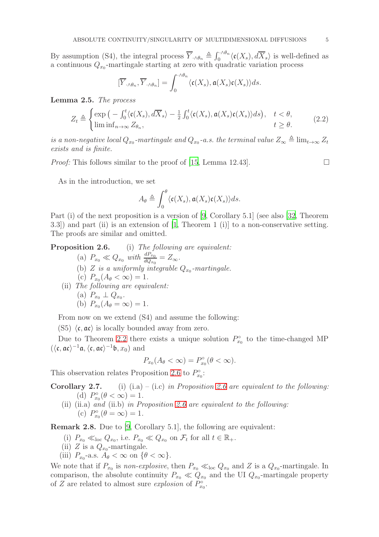By assumption (S4), the integral process  $\overline{Y}_{\cdot \wedge \theta_n} \triangleq \int_0^{\cdot \wedge \theta_n} \langle \mathfrak{c}(X_s), d\overline{X}_s \rangle$  is well-defined as a continuous  $Q_{x_0}$ -martingale starting at zero with quadratic variation process

$$
[\overline{Y}_{\cdot \wedge \theta_n}, \overline{Y}_{\cdot \wedge \theta_n}] = \int_0^{\cdot \wedge \theta_n} \langle \mathfrak{c}(X_s), \mathfrak{a}(X_s) \mathfrak{c}(X_s) \rangle ds.
$$

Lemma 2.5. The process

$$
Z_t \triangleq \begin{cases} \exp\left(-\int_0^t \langle \mathfrak{c}(X_s), d\overline{X}_s \rangle - \frac{1}{2} \int_0^t \langle \mathfrak{c}(X_s), \mathfrak{a}(X_s) \mathfrak{c}(X_s) \rangle ds \right), & t < \theta, \\ \liminf_{n \to \infty} Z_{\theta_n}, & t \ge \theta. \end{cases}
$$
(2.2)

is a non-negative local  $Q_{x_0}$ -martingale and  $Q_{x_0}$ -a.s. the terminal value  $Z_{\infty} \triangleq \lim_{t\to\infty} Z_t$ exists and is finite.

*Proof:* This follows similar to the proof of [\[15](#page-17-9), Lemma 12.43].

<span id="page-4-0"></span>

As in the introduction, we set

$$
A_{\theta} \triangleq \int_0^{\theta} \langle \mathfrak{c}(X_s), \mathfrak{a}(X_s) \mathfrak{c}(X_s) \rangle ds.
$$

Part (i) of the next proposition is a version of [\[9,](#page-17-3) Corollary 5.1] (see also [\[32,](#page-18-11) Theorem 3.3]) and part (ii) is an extension of [\[1,](#page-17-2) Theorem 1 (i)] to a non-conservative setting. The proofs are similar and omitted.

Proposition 2.6. (i) The following are equivalent:

(a)  $P_{x_0} \ll Q_{x_0}$  with  $\frac{dP_{x_0}}{dQ_{x_0}} = Z_{\infty}$ . (b) Z is a uniformly integrable  $Q_{x_0}$ -martingale. (c)  $P_{x_0}(A_\theta < \infty) = 1.$ (ii) The following are equivalent:

(a) 
$$
P_{x_0} \perp Q_{x_0}
$$
.  
(b)  $P_{x_0}(A_{\theta} = \infty) = 1$ .

From now on we extend (S4) and assume the following:

 $(S5) \langle \mathfrak{c}, \mathfrak{a} \mathfrak{c} \rangle$  is locally bounded away from zero.

Due to Theorem [2.2](#page-2-2) there exists a unique solution  $P_{x_0}^{\circ}$  to the time-changed MP  $(\langle \mathfrak{c}, \mathfrak{a} \mathfrak{c} \rangle^{-1} \mathfrak{a}, \langle \mathfrak{c}, \mathfrak{a} \mathfrak{c} \rangle^{-1} \mathfrak{b}, x_0)$  and

$$
P_{x_0}(A_{\theta} < \infty) = P_{x_0}^{\circ}(\theta < \infty).
$$

This observation relates Proposition 2.6 to  $P_{x_0}^{\circ}$ :

**Corollary 2.7.** (i) (i.a) – (i.c) in Proposition 2.6 are equivalent to the following: (d)  $P_{x_0}^{\circ}(\theta < \infty) = 1$ .

(ii) (ii.a) and (ii.b) in Proposition 2.6 are equivalent to the following: (c)  $P_{x_0}^{\circ}(\theta = \infty) = 1.$ 

Remark 2.8. Due to [\[9](#page-17-3), Corollary 5.1], the following are equivalent:

- (i)  $P_{x_0} \ll_{\text{loc}} Q_{x_0}$ , i.e.  $P_{x_0} \ll Q_{x_0}$  on  $\mathcal{F}_t$  for all  $t \in \mathbb{R}_+$ .
- (ii) Z is a  $Q_{x_0}$ -martingale.
- (iii)  $P_{x_0}$ -a.s.  $A_\theta < \infty$  on  $\{\theta < \infty\}$ .

We note that if  $P_{x_0}$  is non-explosive, then  $P_{x_0} \ll_{\text{loc}} Q_{x_0}$  and Z is a  $Q_{x_0}$ -martingale. In comparison, the absolute continuity  $P_{x_0} \ll Q_{x_0}$  and the UI  $Q_{x_0}$ -martingale property of Z are related to almost sure *explosion* of  $P_{x_0}^{\circ}$ .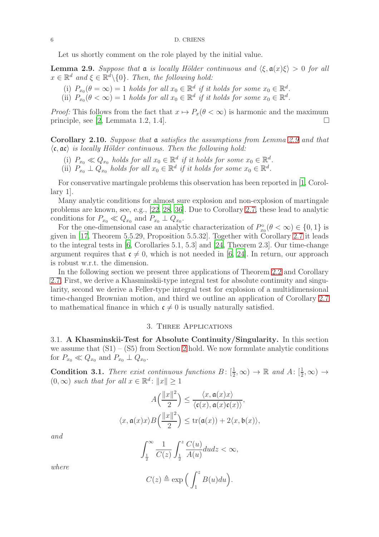Let us shortly comment on the role played by the initial value.

<span id="page-5-1"></span>**Lemma 2.9.** Suppose that  $\mathfrak{a}$  is locally Hölder continuous and  $\langle \xi, \mathfrak{a}(x)\xi \rangle > 0$  for all  $x \in \mathbb{R}^d$  and  $\xi \in \mathbb{R}^d \setminus \{0\}$ . Then, the following hold:

- (i)  $P_{x_0}(\theta = \infty) = 1$  holds for all  $x_0 \in \mathbb{R}^d$  if it holds for some  $x_0 \in \mathbb{R}^d$ .
- (ii)  $P_{x_0}(\theta < \infty) = 1$  holds for all  $x_0 \in \mathbb{R}^d$  if it holds for some  $x_0 \in \mathbb{R}^d$ .

*Proof:* This follows from the fact that  $x \mapsto P_x(\theta < \infty)$  is harmonic and the maximum principle see [2] Lemmata 1.2, 1.4] principle, see [\[2,](#page-17-10) Lemmata 1.2, 1.4].

**Corollary 2.10.** Suppose that  $\alpha$  satisfies the assumptions from Lemma [2.9](#page-5-1) and that  $\langle \mathfrak{c}, \mathfrak{a} \mathfrak{c} \rangle$  is locally Hölder continuous. Then the following hold:

- (i)  $P_{x_0} \ll Q_{x_0}$  holds for all  $x_0 \in \mathbb{R}^d$  if it holds for some  $x_0 \in \mathbb{R}^d$ .
- (ii)  $P_{x_0} \perp Q_{x_0}$  holds for all  $x_0 \in \mathbb{R}^d$  if it holds for some  $x_0 \in \mathbb{R}^d$ .

For conservative martingale problems this observation has been reported in [\[1](#page-17-2), Corollary 1].

Many analytic conditions for almost sure explosion and non-explosion of martingale problems are known, see, e.g., [\[22](#page-18-5), [28,](#page-18-6) [36](#page-18-7)]. Due to Corollary 2.7, these lead to analytic conditions for  $P_{x_0} \ll Q_{x_0}$  and  $P_{x_0} \perp Q_{x_0}$ .

For the one-dimensional case an analytic characterization of  $P_{x_0}^{\circ}(\theta < \infty) \in \{0, 1\}$  is given in [\[17](#page-17-11), Theorem 5.5.29, Proposition 5.5.32]. Together with Corollary 2.7 it leads to the integral tests in [\[6,](#page-17-1) Corollaries 5.1, 5.3] and [24, Theorem 2.3]. Our time-change argument requires that  $\mathfrak{c} \neq 0$ , which is not needed in [\[6,](#page-17-1) 24]. In return, our approach is robust w.r.t. the dimension.

In the following section we present three applications of Theorem [2.2](#page-2-2) and Corollary 2.7. First, we derive a Khasminskii-type integral test for absolute continuity and singularity, second we derive a Feller-type integral test for explosion of a multidimensional time-changed Brownian motion, and third we outline an application of Corollary 2.7 to mathematical finance in which  $\mathfrak{c} \neq 0$  is usually naturally satisfied.

## 3. Three Applications

<span id="page-5-0"></span>3.1. A Khasminskii-Test for Absolute Continuity/Singularity. In this section we assume that  $(S1) - (S5)$  from Section [2](#page-2-0) hold. We now formulate analytic conditions for  $P_{x_0} \ll Q_{x_0}$  and  $P_{x_0} \perp Q_{x_0}$ .

<span id="page-5-2"></span>**Condition 3.1.** There exist continuous functions  $B: [\frac{1}{2}, \infty) \to \mathbb{R}$  and  $A: [\frac{1}{2}, \infty) \to \infty$  $(0, \infty)$  such that for all  $x \in \mathbb{R}^d$ :  $||x|| \ge 1$ 

$$
A\left(\frac{\|x\|^2}{2}\right) \le \frac{\langle x, \mathfrak{a}(x)x \rangle}{\langle \mathfrak{c}(x), \mathfrak{a}(x)\mathfrak{c}(x) \rangle},
$$

$$
\langle x, \mathfrak{a}(x)x \rangle B\left(\frac{\|x\|^2}{2}\right) \le \text{tr}(\mathfrak{a}(x)) + 2\langle x, \mathfrak{b}(x) \rangle,
$$

and

$$
\int_{\frac{1}{2}}^{\infty} \frac{1}{C(z)} \int_{\frac{1}{2}}^{z} \frac{C(u)}{A(u)} du dz < \infty,
$$

$$
C(z) \triangleq \exp\Big(\int_1^z B(u) du\Big).
$$

where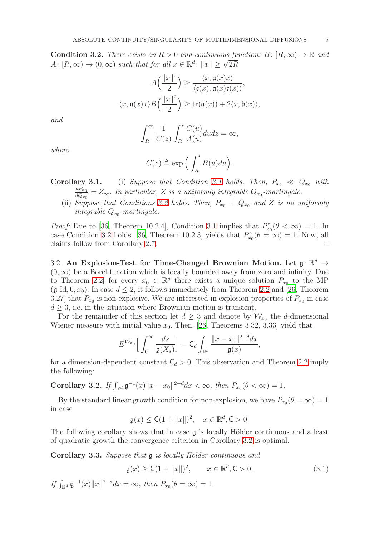<span id="page-6-0"></span>**Condition 3.2.** There exists an  $R > 0$  and continuous functions  $B: [R, \infty) \to \mathbb{R}$  and A:  $[R, \infty) \to (0, \infty)$  such that for all  $x \in \mathbb{R}^d$ :  $||x|| \ge \sqrt{2R}$ 

$$
A\left(\frac{\|x\|^2}{2}\right) \ge \frac{\langle x, \mathfrak{a}(x)x \rangle}{\langle \mathfrak{c}(x), \mathfrak{a}(x)\mathfrak{c}(x) \rangle},
$$

$$
\langle x, \mathfrak{a}(x)x \rangle B\left(\frac{\|x\|^2}{2}\right) \ge \text{tr}(\mathfrak{a}(x)) + 2\langle x, \mathfrak{b}(x) \rangle,
$$

and

$$
\int_{R}^{\infty} \frac{1}{C(z)} \int_{R}^{z} \frac{C(u)}{A(u)} du dz = \infty,
$$

where

$$
C(z) \triangleq \exp\Big(\int_R^z B(u) du\Big).
$$

**Corollary [3.1](#page-5-2).** (i) Suppose that Condition 3.1 holds. Then,  $P_{x_0} \ll Q_{x_0}$  with  $dP_{x_0}$  $\frac{dF_{x_0}}{dQ_{x_0}} = Z_{\infty}$ . In particular, Z is a uniformly integrable  $Q_{x_0}$ -martingale.

(ii) Suppose that Conditions [3.2](#page-6-0) holds. Then,  $P_{x_0} \perp Q_{x_0}$  and Z is no uniformly integrable  $Q_{x_0}$ -martingale.

*Proof:* Due to [\[36](#page-18-7), Theorem 10.2.4], Condition [3.1](#page-5-2) implies that  $P_{x_0}^{\circ}(\theta < \infty) = 1$ . In case Condition [3.2](#page-6-0) holds, [\[36,](#page-18-7) Theorem 10.2.3] yields that  $P_{x_0}^{\circ}(\theta = \infty) = 1$ . Now, all claims follow from Corollary 2.7.

3.2. An Explosion-Test for Time-Changed Brownian Motion. Let  $\mathfrak{g} \colon \mathbb{R}^d \to$  $(0, \infty)$  be a Borel function which is locally bounded away from zero and infinity. Due to Theorem [2.2,](#page-2-2) for every  $x_0 \in \mathbb{R}^d$  there exists a unique solution  $P_{x_0}$  to the MP (g Id, 0,  $x_0$ ). In case  $d \leq 2$ , it follows immediately from Theorem [2.2](#page-2-2) and [\[26,](#page-18-12) Theorem 3.27] that  $P_{x_0}$  is non-explosive. We are interested in explosion properties of  $P_{x_0}$  in case  $d \geq 3$ , i.e. in the situation where Brownian motion is transient.

For the remainder of this section let  $d \geq 3$  and denote by  $\mathcal{W}_{x_0}$  the d-dimensional Wiener measure with initial value  $x_0$ . Then, [\[26,](#page-18-12) Theorems 3.32, 3.33] yield that

$$
E^{\mathcal{W}_{x_0}}\Big[\int_0^\infty \frac{ds}{\mathfrak{g}(X_s)}\Big] = \mathsf{C}_d \int_{\mathbb{R}^d} \frac{\|x-x_0\|^{2-d} dx}{\mathfrak{g}(x)},
$$

for a dimension-dependent constant  $C_d > 0$ . This observation and Theorem [2.2](#page-2-2) imply the following:

<span id="page-6-1"></span>Corollary 3.2. If  $\int_{\mathbb{R}^d} \mathfrak{g}^{-1}(x) \|x - x_0\|^{2-d} dx < \infty$ , then  $P_{x_0}(\theta < \infty) = 1$ .

By the standard linear growth condition for non-explosion, we have  $P_{x_0}(\theta = \infty) = 1$ in case

 $\mathfrak{g}(x) \leq \mathsf{C}(1 + ||x||)^2, \quad x \in \mathbb{R}^d, \mathsf{C} > 0.$ 

The following corollary shows that in case  $\boldsymbol{g}$  is locally Hölder continuous and a least of quadratic growth the convergence criterion in Corollary [3.2](#page-6-1) is optimal.

Corollary 3.3. Suppose that  $\mathfrak g$  is locally Hölder continuous and

<span id="page-6-2"></span>
$$
\mathfrak{g}(x) \ge C(1 + ||x||)^2, \qquad x \in \mathbb{R}^d, \mathsf{C} > 0. \tag{3.1}
$$

If  $\int_{\mathbb{R}^d} \mathfrak{g}^{-1}(x) \|x\|^{2-d} dx = \infty$ , then  $P_{x_0}(\theta = \infty) = 1$ .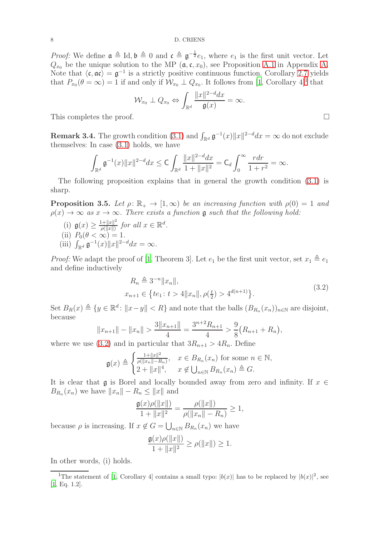*Proof:* We define  $\mathfrak{a} \triangleq \text{Id}, \mathfrak{b} \triangleq 0$  and  $\mathfrak{c} \triangleq \mathfrak{g}^{-\frac{1}{2}}e_1$ , where  $e_1$  is the first unit vector. Let  $Q_{x_0}$  be the unique solution to the MP  $(\mathfrak{a}, \mathfrak{c}, x_0)$ , see Proposition [A.1](#page-16-1) in Appendix [A.](#page-16-0) Note that  $\langle \mathfrak{c}, \mathfrak{a} \mathfrak{c} \rangle = \mathfrak{g}^{-1}$  is a strictly positive continuous function. Corollary 2.7 yields that  $P_{x_0}(\theta = \infty) = 1$  $P_{x_0}(\theta = \infty) = 1$  if and only if  $\mathcal{W}_{x_0} \perp Q_{x_0}$ . It follows from [\[1,](#page-17-2) Corollary 4]<sup>1</sup> that

$$
\mathcal{W}_{x_0} \perp Q_{x_0} \Leftrightarrow \int_{\mathbb{R}^d} \frac{\|x\|^{2-d} dx}{\mathfrak{g}(x)} = \infty.
$$

This completes the proof.  $\Box$ 

**Remark 3.4.** The growth condition [\(3.1\)](#page-6-2) and  $\int_{\mathbb{R}^d} \mathfrak{g}^{-1}(x) ||x||^{2-d} dx = \infty$  do not exclude themselves: In case [\(3.1\)](#page-6-2) holds, we have

$$
\int_{\mathbb{R}^d} \mathfrak{g}^{-1}(x) \|x\|^{2-d} dx \leq \mathsf{C} \int_{\mathbb{R}^d} \frac{\|x\|^{2-d} dx}{1 + \|x\|^2} = \mathsf{C}_d \int_0^\infty \frac{r dr}{1 + r^2} = \infty.
$$

The following proposition explains that in general the growth condition [\(3.1\)](#page-6-2) is sharp.

**Proposition 3.5.** Let  $\rho: \mathbb{R}_+ \to [1, \infty)$  be an increasing function with  $\rho(0) = 1$  and  $\rho(x) \to \infty$  as  $x \to \infty$ . There exists a function **g** such that the following hold:

- (i)  $\mathfrak{g}(x) \geq \frac{1 + ||x||^2}{\rho(||x||)}$  $\frac{d+||x||^2}{\rho(||x||)}$  for all  $x \in \mathbb{R}^d$ . (ii)  $P_0(\theta < \infty) = 1$ .
- (iii)  $\int_{\mathbb{R}^d} \mathfrak{g}^{-1}(x) \|x\|^{2-d} dx = \infty$ .

*Proof:* We adapt the proof of [\[1,](#page-17-2) Theorem 3]. Let  $e_1$  be the first unit vector, set  $x_1 \triangleq e_1$ and define inductively

$$
R_n \triangleq 3^{-n} ||x_n||,
$$
  
\n
$$
x_{n+1} \in \{te_1 : t > 4||x_n||, \rho(\frac{t}{2}) > 4^{d(n+1)}\}.
$$
\n(3.2)

<span id="page-7-1"></span>Set  $B_R(x) \triangleq \{y \in \mathbb{R}^d \colon ||x - y|| < R\}$  and note that the balls  $(B_{R_n}(x_n))_{n \in \mathbb{N}}$  are disjoint, because

$$
||x_{n+1}|| - ||x_n|| > \frac{3||x_{n+1}||}{4} = \frac{3^{n+2}R_{n+1}}{4} > \frac{9}{8}(R_{n+1} + R_n),
$$

where we use [\(3.2\)](#page-7-1) and in particular that  $3R_{n+1} > 4R_n$ . Define

$$
\mathfrak{g}(x) \triangleq \begin{cases} \frac{1+\|x\|^2}{\rho(\|x_n\|-R_n)}, & x \in B_{R_n}(x_n) \text{ for some } n \in \mathbb{N},\\ 2+\|x\|^4, & x \notin \bigcup_{n \in \mathbb{N}} B_{R_n}(x_n) \triangleq G. \end{cases}
$$

It is clear that g is Borel and locally bounded away from zero and infinity. If  $x \in$  $B_{R_n}(x_n)$  we have  $||x_n|| - R_n \le ||x||$  and

$$
\frac{\mathfrak{g}(x)\rho(\|x\|)}{1+\|x\|^2} = \frac{\rho(\|x\|)}{\rho(\|x_n\| - R_n)} \ge 1,
$$

because  $\rho$  is increasing. If  $x \notin G = \bigcup_{n \in \mathbb{N}} B_{R_n}(x_n)$  we have

$$
\frac{\mathfrak{g}(x)\rho(\|x\|)}{1 + \|x\|^2} \ge \rho(\|x\|) \ge 1.
$$

In other words, (i) holds.

<span id="page-7-0"></span><sup>&</sup>lt;sup>1</sup>The statement of [\[1](#page-17-2), Corollary 4] contains a small typo:  $|b(x)|$  has to be replaced by  $|b(x)|^2$ , see [\[1](#page-17-2), Eq. 1.2].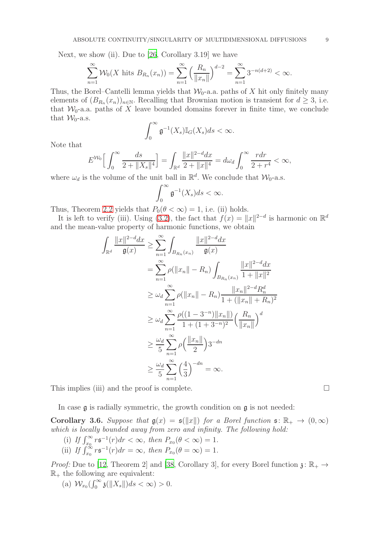Next, we show (ii). Due to [\[26,](#page-18-12) Corollary 3.19] we have

$$
\sum_{n=1}^{\infty} \mathcal{W}_0(X \text{ hits } B_{R_n}(x_n)) = \sum_{n=1}^{\infty} \left( \frac{R_n}{\|x_n\|} \right)^{d-2} = \sum_{n=1}^{\infty} 3^{-n(d+2)} < \infty.
$$

Thus, the Borel–Cantelli lemma yields that  $\mathcal{W}_0$ -a.a. paths of X hit only finitely many elements of  $(B_{R_n}(x_n))_{n\in\mathbb{N}}$ . Recalling that Brownian motion is transient for  $d \geq 3$ , i.e. that  $W_0$ -a.a. paths of X leave bounded domains forever in finite time, we conclude that  $\mathcal{W}_0$ -a.s.

$$
\int_0^\infty \mathfrak{g}^{-1}(X_s) \mathbb{I}_G(X_s) ds < \infty.
$$

Note that

$$
E^{\mathcal{W}_0}\Big[\int_0^\infty \frac{ds}{2+\|X_s\|^4}\Big]=\int_{\mathbb{R}^d} \frac{\|x\|^{2-d}dx}{2+\|x\|^4}=d\omega_d\int_0^\infty \frac{rdr}{2+r^4}<\infty,
$$

where  $\omega_d$  is the volume of the unit ball in  $\mathbb{R}^d$ . We conclude that  $\mathcal{W}_0$ -a.s.

$$
\int_0^\infty \mathfrak{g}^{-1}(X_s)ds < \infty.
$$

Thus, Theorem [2.2](#page-2-2) yields that  $P_0(\theta < \infty) = 1$ , i.e. (ii) holds.

It is left to verify (iii). Using [\(3.2\)](#page-7-1), the fact that  $f(x) = ||x||^{2-d}$  is harmonic on  $\mathbb{R}^d$ and the mean-value property of harmonic functions, we obtain

$$
\int_{\mathbb{R}^d} \frac{\|x\|^{2-d} dx}{\mathfrak{g}(x)} \ge \sum_{n=1}^{\infty} \int_{B_{R_n}(x_n)} \frac{\|x\|^{2-d} dx}{\mathfrak{g}(x)}
$$
  
\n
$$
= \sum_{n=1}^{\infty} \rho(\|x_n\| - R_n) \int_{B_{R_n}(x_n)} \frac{\|x\|^{2-d} dx}{1 + \|x\|^2}
$$
  
\n
$$
\ge \omega_d \sum_{n=1}^{\infty} \rho(\|x_n\| - R_n) \frac{\|x_n\|^{2-d} R_n^d}{1 + (\|x_n\| + R_n)^2}
$$
  
\n
$$
\ge \omega_d \sum_{n=1}^{\infty} \frac{\rho((1 - 3^{-n}) \|x_n\|)}{1 + (1 + 3^{-n})^2} \left(\frac{R_n}{\|x_n\|}\right)^d
$$
  
\n
$$
\ge \frac{\omega_d}{5} \sum_{n=1}^{\infty} \rho(\frac{\|x_n\|}{2}) 3^{-dn}
$$
  
\n
$$
\ge \frac{\omega_d}{5} \sum_{n=1}^{\infty} (\frac{4}{3})^{-dn} = \infty.
$$

This implies (iii) and the proof is complete.  $\Box$ 

In case  $\mathfrak g$  is radially symmetric, the growth condition on  $\mathfrak g$  is not needed:

**Corollary 3.6.** Suppose that  $g(x) = g(||x||)$  for a Borel function  $g: \mathbb{R}_+ \to (0, \infty)$ which is locally bounded away from zero and infinity. The following hold:

- (i) If  $\int_{x_0}^{\infty} r \mathfrak{s}^{-1}(r) dr < \infty$ , then  $P_{x_0}(\theta < \infty) = 1$ .
- (ii) If  $\int_{x_0}^{\infty} r \mathfrak{s}^{-1}(r) dr = \infty$ , then  $P_{x_0}(\theta = \infty) = 1$ .

*Proof:* Due to [12, Theorem 2] and [38, Corollary 3], for every Borel function  $\chi: \mathbb{R}_+ \to$  $\mathbb{R}_+$  the following are equivalent:

(a)  $\mathcal{W}_{x_0}(\int_0^\infty \mathfrak{z}(\Vert X_s \Vert) ds < \infty) > 0.$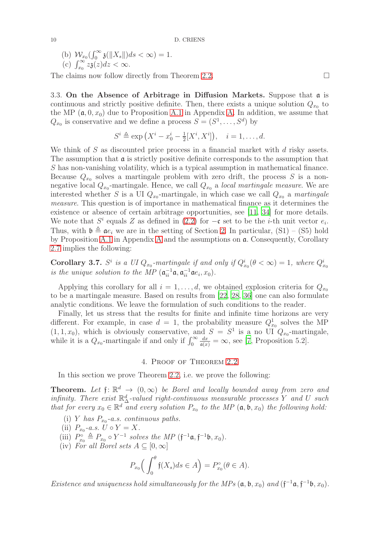(b) 
$$
W_{x_0}(\int_0^\infty \mathfrak{z}(\Vert X_s \Vert) ds < \infty) = 1.
$$

(c) 
$$
\int_{x_0}^{\infty} z_3(z) dz < \infty
$$
.

The claims now follow directly from Theorem [2.2.](#page-2-2)  $\Box$ 

3.3. On the Absence of Arbitrage in Diffusion Markets. Suppose that a is continuous and strictly positive definite. Then, there exists a unique solution  $Q_{x_0}$  to the MP  $(\mathfrak{a}, 0, x_0)$  due to Proposition [A.1](#page-16-1) in Appendix [A.](#page-16-0) In addition, we assume that  $Q_{x_0}$  is conservative and we define a process  $S = (S^1, \ldots, S^d)$  by

$$
S^i \triangleq \exp\left(X^i - x_0^i - \frac{1}{2}[X^i, X^i]\right), \quad i = 1, \dots, d.
$$

We think of  $S$  as discounted price process in a financial market with  $d$  risky assets. The assumption that  $\alpha$  is strictly positive definite corresponds to the assumption that S has non-vanishing volatility, which is a typical assumption in mathematical finance. Because  $Q_{x_0}$  solves a martingale problem with zero drift, the process S is a nonnegative local  $Q_{x_0}$ -martingale. Hence, we call  $Q_{x_0}$  a *local martingale measure*. We are interested whether S is a UI  $Q_{x_0}$ -martingale, in which case we call  $Q_{x_0}$  a martingale measure. This question is of importance in mathematical finance as it determines the existence or absence of certain arbitrage opportunities, see [\[11,](#page-17-0) [34](#page-18-0)] for more details. We note that  $S^i$  equals Z as defined in [\(2.2\)](#page-4-0) for  $-\mathfrak{c}$  set to be the *i*-th unit vector  $e_i$ . Thus, with  $\mathfrak{b} \triangleq \mathfrak{a}e_i$  we are in the setting of Section [2.](#page-2-0) In particular, (S1) – (S5) hold by Proposition [A.1](#page-16-1) in Appendix [A](#page-16-0) and the assumptions on a. Consequently, Corollary 2.7 implies the following:

**Corollary 3.7.**  $S^i$  is a UI  $Q_{x_0}$ -martingale if and only if  $Q_{x_0}^i(\theta < \infty) = 1$ , where  $Q_{x_0}^i$ is the unique solution to the MP  $(\mathfrak{a}_{ii}^{-1}\mathfrak{a}, \mathfrak{a}_{ii}^{-1}\mathfrak{a}e_i, x_0)$ .

Applying this corollary for all  $i = 1, \ldots, d$ , we obtained explosion criteria for  $Q_{x_0}$ to be a martingale measure. Based on results from [\[22](#page-18-5), [28](#page-18-6), [36\]](#page-18-7) one can also formulate analytic conditions. We leave the formulation of such conditions to the reader.

Finally, let us stress that the results for finite and infinite time horizons are very different. For example, in case  $d = 1$ , the probability measure  $Q_{x_0}^1$  solves the MP  $(1, 1, x_0)$ , which is obviously conservative, and  $S = S<sup>1</sup>$  is a no UI  $Q_{x_0}$ -martingale, while it is a  $Q_{x_0}$ -martingale if and only if  $\int_0^\infty$  $\frac{dx}{a(x)} = \infty$ , see [7, Proposition 5.2].

#### 4. Proof of Theorem [2.2](#page-2-2)

<span id="page-9-0"></span>In this section we prove Theorem [2.2,](#page-2-2) i.e. we prove the following:

**Theorem.** Let  $f: \mathbb{R}^d \to (0, \infty)$  be Borel and locally bounded away from zero and infinity. There exist  $\mathbb{R}^d_\Delta$ -valued right-continuous measurable processes Y and U such that for every  $x_0 \in \mathbb{R}^d$  and every solution  $P_{x_0}$  to the MP  $(\mathfrak{a}, \mathfrak{b}, x_0)$  the following hold:

- (i) Y has  $P_{x_0}$ -a.s. continuous paths.
- (ii)  $P_{x_0}$ -a.s.  $U \circ Y = X$ .
- (iii)  $P_{x_0}^{\circ} \triangleq P_{x_0} \circ Y^{-1}$  solves the MP  $(\mathfrak{f}^{-1}\mathfrak{a}, \mathfrak{f}^{-1}\mathfrak{b}, x_0)$ .
- (iv) For all Borel sets  $A \subseteq [0, \infty]$

$$
P_{x_0}\Big(\int_0^\theta \mathfrak{f}(X_s)ds \in A\Big) = P_{x_0}^\circ(\theta \in A).
$$

Existence and uniqueness hold simultaneously for the MPs  $(\mathfrak{a}, \mathfrak{b}, x_0)$  and  $(\mathfrak{f}^{-1}\mathfrak{a}, \mathfrak{f}^{-1}\mathfrak{b}, x_0)$ .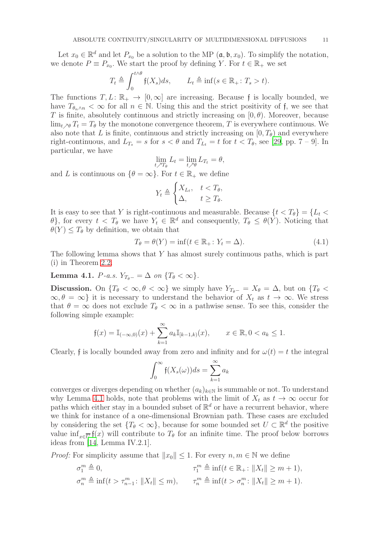Let  $x_0 \in \mathbb{R}^d$  and let  $P_{x_0}$  be a solution to the MP  $(\mathfrak{a}, \mathfrak{b}, x_0)$ . To simplify the notation, we denote  $P \equiv P_{x_0}$ . We start the proof by defining Y. For  $t \in \mathbb{R}_+$  we set

$$
T_t \triangleq \int_0^{t \wedge \theta} \mathfrak{f}(X_s) ds, \qquad L_t \triangleq \inf(s \in \mathbb{R}_+ : T_s > t).
$$

The functions  $T, L: \mathbb{R}_+ \to [0, \infty]$  are increasing. Because f is locally bounded, we have  $T_{\theta_n\wedge n} < \infty$  for all  $n \in \mathbb{N}$ . Using this and the strict positivity of f, we see that T is finite, absolutely continuous and strictly increasing on  $[0, \theta)$ . Moreover, because  $\lim_{t \to \theta} T_t = T_{\theta}$  by the monotone convergence theorem, T is everywhere continuous. We also note that L is finite, continuous and strictly increasing on  $[0, T_{\theta})$  and everywhere right-continuous, and  $L_{T_s} = s$  for  $s < \theta$  and  $T_{L_t} = t$  for  $t < T_{\theta}$ , see [\[29](#page-18-13), pp. 7 – 9]. In particular, we have

$$
\lim_{t \nearrow T_{\theta}} L_t = \lim_{t \nearrow \theta} L_{T_t} = \theta,
$$

and L is continuous on  $\{\theta = \infty\}$ . For  $t \in \mathbb{R}_+$  we define

<span id="page-10-1"></span>
$$
Y_t \triangleq \begin{cases} X_{L_t}, & t < T_\theta, \\ \Delta, & t \ge T_\theta. \end{cases}
$$

It is easy to see that Y is right-continuous and measurable. Because  $\{t < T_{\theta}\} = \{L_t <$ θ}, for every  $t < T_θ$  we have  $Y_t \in \mathbb{R}^d$  and consequently,  $T_θ ≤ θ(Y)$ . Noticing that  $\theta(Y) \leq T_{\theta}$  by definition, we obtain that

$$
T_{\theta} = \theta(Y) = \inf(t \in \mathbb{R}_+ : Y_t = \Delta). \tag{4.1}
$$

The following lemma shows that Y has almost surely continuous paths, which is part (i) in Theorem [2.2.](#page-2-2)

<span id="page-10-0"></span>Lemma 4.1.  $P$ -a.s.  $Y_{T_{\theta}-} = \Delta$  on  $\{T_{\theta} < \infty\}.$ 

**Discussion.** On  $\{T_\theta < \infty, \theta < \infty\}$  we simply have  $Y_{T_\theta-} = X_\theta = \Delta$ , but on  $\{T_\theta <$  $\infty, \theta = \infty$  it is necessary to understand the behavior of  $X_t$  as  $t \to \infty$ . We stress that  $\theta = \infty$  does not exclude  $T_{\theta} < \infty$  in a pathwise sense. To see this, consider the following simple example:

$$
\mathfrak{f}(x) = \mathbb{I}_{(-\infty,0)}(x) + \sum_{k=1}^{\infty} a_k \mathbb{I}_{[k-1,k)}(x), \qquad x \in \mathbb{R}, 0 < a_k \le 1.
$$

Clearly, f is locally bounded away from zero and infinity and for  $\omega(t) = t$  the integral

$$
\int_0^\infty \mathfrak{f}(X_s(\omega))ds = \sum_{k=1}^\infty a_k
$$

converges or diverges depending on whether  $(a_k)_{k\in\mathbb{N}}$  is summable or not. To understand why Lemma [4.1](#page-10-0) holds, note that problems with the limit of  $X_t$  as  $t \to \infty$  occur for paths which either stay in a bounded subset of  $\mathbb{R}^d$  or have a recurrent behavior, where we think for instance of a one-dimensional Brownian path. These cases are excluded by considering the set  $\{T_\theta < \infty\}$ , because for some bounded set  $U \subset \mathbb{R}^d$  the positive value  $\inf_{x \in \overline{U}} f(x)$  will contribute to  $T_{\theta}$  for an infinite time. The proof below borrows ideas from [\[14](#page-17-12), Lemma IV.2.1].

*Proof:* For simplicity assume that  $||x_0|| \leq 1$ . For every  $n, m \in \mathbb{N}$  we define

$$
\sigma_1^m \triangleq 0, \qquad \qquad \tau_1^m \triangleq \inf(t \in \mathbb{R}_+ : \|X_t\| \ge m + 1),
$$
  

$$
\sigma_n^m \triangleq \inf(t > \tau_{n-1}^m : \|X_t\| \le m), \qquad \tau_n^m \triangleq \inf(t > \sigma_n^m : \|X_t\| \ge m + 1).
$$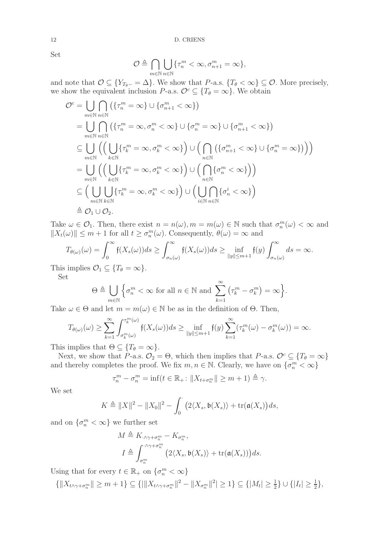Set

$$
\mathcal{O} \triangleq \bigcap_{m \in \mathbb{N}} \bigcup_{n \in \mathbb{N}} \{\tau_n^m < \infty, \sigma_{n+1}^m = \infty\},\
$$

and note that  $\mathcal{O} \subseteq \{Y_{T_{\theta}-} = \Delta\}$ . We show that  $P$ -a.s.  $\{T_{\theta} < \infty\} \subseteq \mathcal{O}$ . More precisely, we show the equivalent inclusion P-a.s.  $\mathcal{O}^c \subseteq \{T_\theta = \infty\}$ . We obtain

$$
O^{c} = \bigcup_{m \in \mathbb{N}} \bigcap_{n \in \mathbb{N}} (\{\tau_{n}^{m} = \infty\} \cup \{\sigma_{n+1}^{m} < \infty\})
$$
  
\n
$$
= \bigcup_{m \in \mathbb{N}} \bigcap_{n \in \mathbb{N}} (\{\tau_{n}^{m} = \infty, \sigma_{n}^{m} < \infty\} \cup \{\sigma_{n}^{m} = \infty\} \cup \{\sigma_{n+1}^{m} < \infty\})
$$
  
\n
$$
\subseteq \bigcup_{m \in \mathbb{N}} \left( \left( \bigcup_{k \in \mathbb{N}} \{\tau_{k}^{m} = \infty, \sigma_{k}^{m} < \infty\} \right) \cup \left( \bigcap_{n \in \mathbb{N}} \{\{\sigma_{n+1}^{m} < \infty\} \cup \{\sigma_{n}^{m} = \infty\}\}\right) \right)
$$
  
\n
$$
= \bigcup_{m \in \mathbb{N}} \left( \left( \bigcup_{k \in \mathbb{N}} \{\tau_{k}^{m} = \infty, \sigma_{k}^{m} < \infty\} \right) \cup \left( \bigcap_{n \in \mathbb{N}} \{\sigma_{n}^{m} < \infty\} \right) \right)
$$
  
\n
$$
\subseteq \left( \bigcup_{m \in \mathbb{N}} \bigcup_{k \in \mathbb{N}} \{\tau_{k}^{m} = \infty, \sigma_{k}^{m} < \infty\} \right) \cup \left( \bigcup_{i \in \mathbb{N}} \{\sigma_{n}^{i} < \infty\} \right)
$$
  
\n
$$
\triangleq O_{1} \cup O_{2}.
$$

Take  $\omega \in \mathcal{O}_1$ . Then, there exist  $n = n(\omega), m = m(\omega) \in \mathbb{N}$  such that  $\sigma_n^m(\omega) < \infty$  and  $||X_t(\omega)|| \leq m + 1$  for all  $t \geq \sigma_n^m(\omega)$ . Consequently,  $\theta(\omega) = \infty$  and

$$
T_{\theta(\omega)}(\omega) = \int_0^\infty \mathfrak{f}(X_s(\omega))ds \ge \int_{\sigma_n(\omega)}^\infty \mathfrak{f}(X_s(\omega))ds \ge \inf_{\|y\| \le m+1} \mathfrak{f}(y) \int_{\sigma_n(\omega)}^\infty ds = \infty.
$$

This implies  $\mathcal{O}_1 \subseteq \{T_\theta = \infty\}.$ 

Set

$$
\Theta \triangleq \bigcup_{m \in \mathbb{N}} \left\{ \sigma_n^m < \infty \text{ for all } n \in \mathbb{N} \text{ and } \sum_{k=1}^{\infty} \left( \tau_k^m - \sigma_k^m \right) = \infty \right\}.
$$

Take  $\omega \in \Theta$  and let  $m = m(\omega) \in \mathbb{N}$  be as in the definition of  $\Theta$ . Then,

$$
T_{\theta(\omega)}(\omega) \ge \sum_{k=1}^{\infty} \int_{\sigma_k^m(\omega)}^{\tau_k^m(\omega)} \mathfrak{f}(X_s(\omega))ds \ge \inf_{\|y\| \le m+1} \mathfrak{f}(y) \sum_{k=1}^{\infty} (\tau_k^m(\omega) - \sigma_k^m(\omega)) = \infty.
$$

This implies that  $\Theta \subseteq \{T_{\theta} = \infty\}.$ 

Next, we show that P-a.s.  $\mathcal{O}_2 = \Theta$ , which then implies that P-a.s.  $\mathcal{O}^c \subseteq \{T_\theta = \infty\}$ and thereby completes the proof. We fix  $m, n \in \mathbb{N}$ . Clearly, we have on  $\{\sigma_n^m < \infty\}$ 

$$
\tau_n^m - \sigma_n^m = \inf\left(t \in \mathbb{R}_+ : \|X_{t+\sigma_n^m}\| \ge m+1\right) \triangleq \gamma.
$$

We set

$$
K \triangleq ||X||^2 - ||X_0||^2 - \int_0^{\cdot} (2\langle X_s, \mathfrak{b}(X_s) \rangle + \text{tr}(\mathfrak{a}(X_s))ds,
$$

and on  $\{\sigma_n^m < \infty\}$  we further set

$$
M \triangleq K_{\cdot \wedge \gamma + \sigma_n^m} - K_{\sigma_n^m},
$$
  
\n
$$
I \triangleq \int_{\sigma_n^m}^{\cdot \wedge \gamma + \sigma_n^m} \left(2 \langle X_s, \mathfrak{b}(X_s) \rangle + \text{tr}(\mathfrak{a}(X_s))\right) ds.
$$

Using that for every  $t \in \mathbb{R}_+$  on  $\{\sigma_n^m < \infty\}$ 

$$
\{\|X_{t\wedge\gamma+\sigma_n^m}\|\geq m+1\}\subseteq\{\|\|X_{t\wedge\gamma+\sigma_n^m}\|^2-\|X_{\sigma_n^m}\|^2|\geq 1\}\subseteq\{|M_t|\geq \frac{1}{2}\}\cup\{|I_t|\geq \frac{1}{2}\},\
$$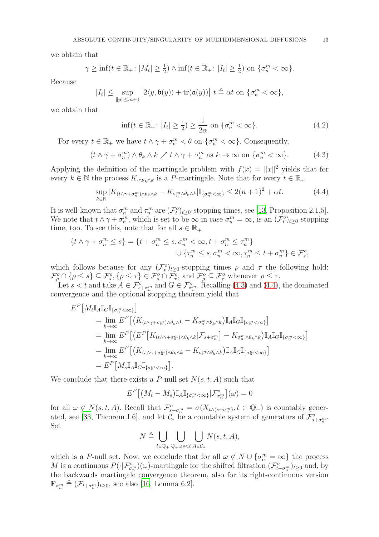we obtain that

$$
\gamma \ge \inf\{t \in \mathbb{R}_+ : |M_t| \ge \frac{1}{2}\} \wedge \inf\{t \in \mathbb{R}_+ : |I_t| \ge \frac{1}{2}\} \text{ on }\{\sigma_n^m < \infty\}.
$$

Because

$$
|I_t| \leq \sup_{\|y\| \leq m+1} \left|2\langle y, \mathfrak{b}(y)\rangle + \text{tr}(\mathfrak{a}(y))\right| \, t \triangleq \alpha t \text{ on } \{\sigma_n^m < \infty\},
$$

we obtain that

$$
\inf(t \in \mathbb{R}_+ : |I_t| \ge \frac{1}{2}) \ge \frac{1}{2\alpha} \text{ on } \{\sigma_n^m < \infty\}. \tag{4.2}
$$

For every  $t \in \mathbb{R}_+$  we have  $t \wedge \gamma + \sigma_n^m < \theta$  on  $\{\sigma_n^m < \infty\}$ . Consequently,

$$
(t \wedge \gamma + \sigma_n^m) \wedge \theta_k \wedge k \nearrow t \wedge \gamma + \sigma_n^m \text{ as } k \to \infty \text{ on } \{\sigma_n^m < \infty\}. \tag{4.3}
$$

Applying the definition of the martingale problem with  $f(x) = ||x||^2$  yields that for every  $k \in \mathbb{N}$  the process  $K_{\cdot \wedge \theta_k \wedge k}$  is a P-martingale. Note that for every  $t \in \mathbb{R}_+$ 

$$
\sup_{k \in \mathbb{N}} |K_{(t \wedge \gamma + \sigma_n^m) \wedge \theta_k \wedge k} - K_{\sigma_n^m \wedge \theta_k \wedge k}| \mathbb{I}_{\{\sigma_n^m < \infty\}} \le 2(n+1)^2 + \alpha t. \tag{4.4}
$$

It is well-known that  $\sigma_n^m$  and  $\tau_n^m$  are  $(\mathcal{F}_t^o)_{t\geq 0}$ -stopping times, see [\[13](#page-17-13), Proposition 2.1.5]. We note that  $t \wedge \gamma + \sigma_n^m$ , which is set to be  $\infty$  in case  $\sigma_n^m = \infty$ , is an  $(\mathcal{F}_t^o)_{t \geq 0}$ -stopping time, too. To see this, note that for all  $s \in \mathbb{R}_+$ 

$$
\begin{aligned} \{t \wedge \gamma + \sigma_n^m \le s\} &= \{t + \sigma_n^m \le s, \sigma_n^m < \infty, t + \sigma_n^m \le \tau_n^m\} \\ &\cup \{\tau_n^m \le s, \sigma_n^m < \infty, \tau_n^m \le t + \sigma_n^m\} \in \mathcal{F}_s^o, \end{aligned}
$$

which follows because for any  $(\mathcal{F}_t^o)_{t\geq 0}$ -stopping times  $\rho$  and  $\tau$  the following hold:  $\mathcal{F}_{\rho}^o \cap \{\rho \leq s\} \subseteq \mathcal{F}_{s}^o, \{\rho \leq \tau\} \in \mathcal{F}_{\rho}^o \cap \mathcal{F}_{\tau}^o$ , and  $\mathcal{F}_{\rho}^o \subseteq \mathcal{F}_{\tau}^o$  whenever  $\rho \leq \tau$ .

Let  $s < t$  and take  $A \in \mathcal{F}_{s+\sigma_n^m}^o$  and  $G \in \mathcal{F}_{\sigma_n^m}^o$ . Recalling [\(4.3\)](#page-12-0) and [\(4.4\)](#page-12-1), the dominated convergence and the optional stopping theorem yield that

$$
E^{P}[M_{t}\mathbb{I}_{A}\mathbb{I}_{G}\mathbb{I}_{\{\sigma_{n}^{m}\langle\infty\}\}}]
$$
\n
$$
= \lim_{k \to \infty} E^{P}[(K_{(t \wedge \gamma + \sigma_{n}^{m}) \wedge \theta_{k} \wedge k} - K_{\sigma_{n}^{m} \wedge \theta_{k} \wedge k})\mathbb{I}_{A}\mathbb{I}_{G}\mathbb{I}_{\{\sigma_{n}^{m}\langle\infty\}\}}]
$$
\n
$$
= \lim_{k \to \infty} E^{P}[(E^{P}[K_{(t \wedge \gamma + \sigma_{n}^{m}) \wedge \theta_{k} \wedge k}|\mathcal{F}_{s+\sigma_{n}^{m}}] - K_{\sigma_{n}^{m} \wedge \theta_{k} \wedge k})\mathbb{I}_{A}\mathbb{I}_{G}\mathbb{I}_{\{\sigma_{n}^{m}\langle\infty\}\}}]
$$
\n
$$
= \lim_{k \to \infty} E^{P}[(K_{(s \wedge \gamma + \sigma_{n}^{m}) \wedge \theta_{k} \wedge k} - K_{\sigma_{n}^{m} \wedge \theta_{k} \wedge k})\mathbb{I}_{A}\mathbb{I}_{G}\mathbb{I}_{\{\sigma_{n}^{m}\langle\infty\}\}}]
$$
\n
$$
= E^{P}[M_{s}\mathbb{I}_{A}\mathbb{I}_{G}\mathbb{I}_{\{\sigma_{n}^{m}\langle\infty\}\}}].
$$

We conclude that there exists a P-null set  $N(s, t, A)$  such that

$$
E^P\big[\big(M_t - M_s\big)\mathbb{I}_A\mathbb{I}_{\{\sigma_n^m < \infty\}}|\mathcal{F}_{\sigma_n^m}^o\big](\omega) = 0
$$

for all  $\omega \notin N(s,t,A)$ . Recall that  $\mathcal{F}^o_{s+\sigma_n^m} = \sigma(X_{t \wedge (s+\sigma_n^m)}, t \in \mathbb{Q}_+)$  is countably gener-ated, see [\[33,](#page-18-14) Theorem I.6], and let  $\mathcal{C}_s$  be a countable system of generators of  $\mathcal{F}^o_{s+\sigma^m_n}$ . Set

$$
N \triangleq \bigcup_{t \in \mathbb{Q}_+} \bigcup_{\mathbb{Q}_+ \ni s < t} \bigcup_{A \in \mathcal{C}_s} N(s, t, A),
$$

which is a P-null set. Now, we conclude that for all  $\omega \notin N \cup {\sigma_n^m} = \infty$  the process M is a continuous  $P(\cdot|\mathcal{F}_{\sigma_n^m}^o)(\omega)$ -martingale for the shifted filtration  $(\mathcal{F}_{t+\sigma_n^m}^o)_{t\geq 0}$  and, by the backwards martingale convergence theorem, also for its right-continuous version  $\mathbf{F}_{\sigma_n^m} \triangleq (\mathcal{F}_{t+\sigma_n^m})_{t\geq 0}$ , see also [\[16](#page-17-14), Lemma 6.2].

<span id="page-12-2"></span><span id="page-12-1"></span><span id="page-12-0"></span>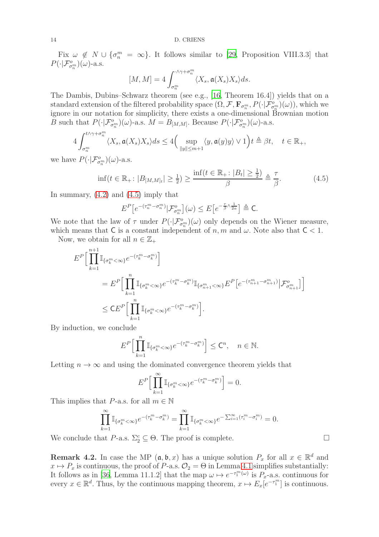Fix  $\omega \notin N \cup {\sigma_n^m = \infty}$ . It follows similar to [\[29](#page-18-13), Proposition VIII.3.3] that  $P(\cdot|\mathcal{F}_{\sigma_n^m}^o)(\omega)$ -a.s.

$$
[M, M] = 4 \int_{\sigma_n^m}^{\sqrt{N} + \sigma_n^m} \langle X_s, \mathfrak{a}(X_s) X_s \rangle ds.
$$

The Dambis, Dubins–Schwarz theorem (see e.g., [\[16,](#page-17-14) Theorem 16.4]) yields that on a standard extension of the filtered probability space  $(\Omega, \mathcal{F}, \mathbf{F}_{\sigma_n^m}, P(\cdot | \mathcal{F}_{\sigma_n^m}^o)(\omega))$ , which we ignore in our notation for simplicity, there exists a one-dimensional Brownian motion B such that  $P(\cdot|\mathcal{F}_{\sigma_n^m}^o)(\omega)$ -a.s.  $M = B_{[M,M]}$ . Because  $P(\cdot|\mathcal{F}_{\sigma_n^m}^o)(\omega)$ -a.s.

$$
4\int_{\sigma_n^m}^{t\wedge\gamma+\sigma_n^m}\langle X_s,\mathfrak{a}(X_s)X_s\rangle ds\leq 4\Big(\sup_{\|y\|\leq m+1}\langle y,\mathfrak{a}(y)y\rangle\vee 1\Big)t\triangleq\beta t,\quad t\in\mathbb{R}_+,
$$

we have  $P(\cdot|\mathcal{F}_{\sigma_n^m}^o)(\omega)$ -a.s.

$$
\inf(t \in \mathbb{R}_+ : |B_{[M,M]_t}| \ge \frac{1}{2}) \ge \frac{\inf(t \in \mathbb{R}_+ : |B_t| \ge \frac{1}{2})}{\beta} \triangleq \frac{\tau}{\beta}.
$$
 (4.5)

In summary,  $(4.2)$  and  $(4.5)$  imply that

<span id="page-13-0"></span>
$$
E^{P}\big[e^{-(\tau_n^m - \sigma_n^m)}|\mathcal{F}_{\sigma_n^m}^o\big](\omega) \le E\big[e^{-\frac{\tau}{\beta}\wedge\frac{1}{2\alpha}}\big] \triangleq \mathsf{C}.
$$

We note that the law of  $\tau$  under  $P(\cdot|\mathcal{F}_{\sigma_n^m}^o)(\omega)$  only depends on the Wiener measure, which means that C is a constant independent of n, m and  $\omega$ . Note also that  $C < 1$ .

Now, we obtain for all  $n \in \mathbb{Z}_+$ 

$$
E^{P}\Big[\prod_{k=1}^{n+1} \mathbb{I}_{\{\sigma_{k}^{m} < \infty\}} e^{-(\tau_{k}^{m} - \sigma_{k}^{m})}\Big]
$$
  
= 
$$
E^{P}\Big[\prod_{k=1}^{n} \mathbb{I}_{\{\sigma_{k}^{m} < \infty\}} e^{-(\tau_{k}^{m} - \sigma_{k}^{m})} \mathbb{I}_{\{\sigma_{n+1}^{m} < \infty\}} E^{P}\Big[e^{-(\tau_{n+1}^{m} - \sigma_{n+1}^{m})}\Big| \mathcal{F}_{\sigma_{n+1}^{m}}^{o}\Big]\Big]
$$
  

$$
\leq C E^{P}\Big[\prod_{k=1}^{n} \mathbb{I}_{\{\sigma_{k}^{m} < \infty\}} e^{-(\tau_{k}^{m} - \sigma_{k}^{m})}\Big].
$$

By induction, we conclude

$$
E^{P}\Big[\prod_{k=1}^{n}\mathbb{I}_{\{\sigma_k^m<\infty\}}e^{-(\tau_k^m-\sigma_k^m)}\Big]\leq \mathsf{C}^n, \quad n\in\mathbb{N}.
$$

Letting  $n \to \infty$  and using the dominated convergence theorem yields that

$$
E^{P}\Big[\prod_{k=1}^{\infty}\mathbb{I}_{\{\sigma_k^m<\infty\}}e^{-(\tau_k^m-\sigma_k^m)}\Big]=0.
$$

This implies that P-a.s. for all  $m \in \mathbb{N}$ 

$$
\prod_{k=1}^{\infty} \mathbb{I}_{\{\sigma_k^m < \infty\}} e^{-(\tau_k^m - \sigma_k^m)} = \prod_{k=1}^{\infty} \mathbb{I}_{\{\sigma_k^m < \infty\}} e^{-\sum_{i=1}^{\infty} (\tau_i^m - \sigma_i^m)} = 0.
$$

We conclude that  $P$ -a.s.  $\Sigma_2^c \subseteq \Theta$ . The proof is complete.

**Remark 4.2.** In case the MP  $(a, b, x)$  has a unique solution  $P_x$  for all  $x \in \mathbb{R}^d$  and  $x \mapsto P_x$  is continuous, the proof of P-a.s.  $\mathcal{O}_2 = \Theta$  in Lemma [4.1](#page-10-0) simplifies substantially: It follows as in [\[36](#page-18-7), Lemma 11.1.2] that the map  $\omega \mapsto e^{-\tau_1^m(\omega)}$  is  $P_x$ -a.s. continuous for every  $x \in \mathbb{R}^d$ . Thus, by the continuous mapping theorem,  $x \mapsto E_x[e^{-\tau_1^m}]$  is continuous.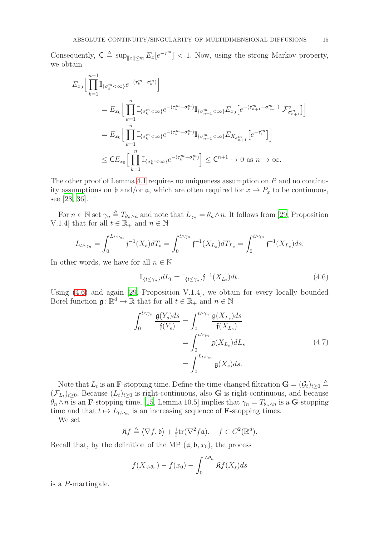Consequently,  $C \triangleq \sup_{\|x\| \leq m} E_x[e^{-\tau_1^m}] < 1$ . Now, using the strong Markov property, we obtain

$$
E_{x_0} \Big[ \prod_{k=1}^{n+1} \mathbb{I}_{\{\sigma_k^m < \infty\}} e^{-(\tau_k^m - \sigma_k^m)} \Big] = E_{x_0} \Big[ \prod_{k=1}^n \mathbb{I}_{\{\sigma_k^m < \infty\}} e^{-(\tau_k^m - \sigma_k^m)} \mathbb{I}_{\{\sigma_{n+1}^m < \infty\}} E_{x_0} \Big[ e^{-(\tau_{n+1}^m - \sigma_{n+1}^m)} | \mathcal{F}_{\sigma_{n+1}^m}^o \Big] \Big] = E_{x_0} \Big[ \prod_{k=1}^n \mathbb{I}_{\{\sigma_k^m < \infty\}} e^{-(\tau_k^m - \sigma_k^m)} \mathbb{I}_{\{\sigma_{n+1}^m < \infty\}} E_{X_{\sigma_{n+1}^m}} \Big[ e^{-\tau_1^m} \Big] \Big] \leq C E_{x_0} \Big[ \prod_{k=1}^n \mathbb{I}_{\{\sigma_k^m < \infty\}} e^{-(\tau_k^m - \sigma_k^m)} \Big] \leq C^{n+1} \to 0 \text{ as } n \to \infty.
$$

The other proof of Lemma [4.1](#page-10-0) requires no uniqueness assumption on  $P$  and no continuity assumptions on  $\mathfrak b$  and/or  $\mathfrak a$ , which are often required for  $x \mapsto P_x$  to be continuous, see [\[28](#page-18-6), [36](#page-18-7)].

For  $n \in \mathbb{N}$  set  $\gamma_n \triangleq T_{\theta_n \wedge n}$  and note that  $L_{\gamma_n} = \theta_n \wedge n$ . It follows from [\[29,](#page-18-13) Proposition V.1.4] that for all  $t \in \mathbb{R}_+$  and  $n \in \mathbb{N}$ 

$$
L_{t\wedge\gamma_n} = \int_0^{L_{t\wedge\gamma_n}} \mathfrak{f}^{-1}(X_s) dT_s = \int_0^{t\wedge\gamma_n} \mathfrak{f}^{-1}(X_{L_s}) dT_{L_s} = \int_0^{t\wedge\gamma_n} \mathfrak{f}^{-1}(X_{L_s}) ds.
$$

In other words, we have for all  $n \in \mathbb{N}$ 

<span id="page-14-0"></span>
$$
\mathbb{I}_{\{t \le \gamma_n\}} dL_t = \mathbb{I}_{\{t \le \gamma_n\}} \mathfrak{f}^{-1}(X_{L_t}) dt. \tag{4.6}
$$

Using [\(4.6\)](#page-14-0) and again [\[29,](#page-18-13) Proposition V.1.4], we obtain for every locally bounded Borel function  $\mathfrak{g} \colon \mathbb{R}^d \to \mathbb{R}$  that for all  $t \in \mathbb{R}_+$  and  $n \in \mathbb{N}$ 

$$
\int_0^{t \wedge \gamma_n} \frac{\mathfrak{g}(Y_s) ds}{\mathfrak{f}(Y_s)} = \int_0^{t \wedge \gamma_n} \frac{\mathfrak{g}(X_{L_s}) ds}{\mathfrak{f}(X_{L_s})}
$$

$$
= \int_0^{t \wedge \gamma_n} \mathfrak{g}(X_{L_s}) dL_s
$$

$$
= \int_0^{L_{t \wedge \gamma_n}} \mathfrak{g}(X_s) ds.
$$
(4.7)

<span id="page-14-1"></span>Note that  $L_t$  is an **F**-stopping time. Define the time-changed filtration  $\mathbf{G} = (\mathcal{G}_t)_{t\geq 0} \triangleq$  $(\mathcal{F}_{L_t})_{t\geq 0}$ . Because  $(L_t)_{t\geq 0}$  is right-continuous, also G is right-continuous, and because  $\theta_n \wedge n$  is an **F**-stopping time, [\[15](#page-17-9), Lemma 10.5] implies that  $\gamma_n = T_{\theta_n \wedge n}$  is a **G**-stopping time and that  $t \mapsto L_{t \wedge \gamma_n}$  is an increasing sequence of **F**-stopping times.

We set

$$
\mathfrak{K}f \triangleq \langle \nabla f, \mathfrak{b} \rangle + \frac{1}{2} \text{tr}(\nabla^2 f \mathfrak{a}), \quad f \in C^2(\mathbb{R}^d).
$$

Recall that, by the definition of the MP  $(\mathfrak{a}, \mathfrak{b}, x_0)$ , the process

$$
f(X_{\cdot\wedge\theta_n}) - f(x_0) - \int_0^{\cdot\wedge\theta_n} \Re f(X_s) ds
$$

is a P-martingale.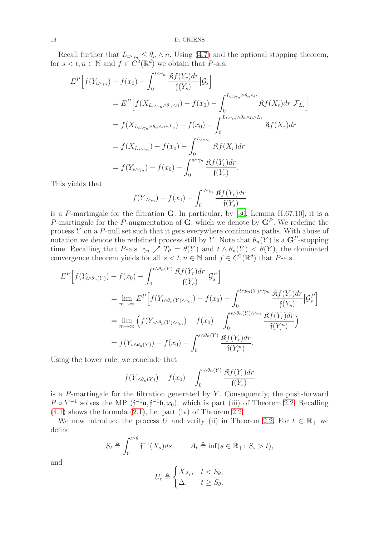Recall further that  $L_{t \wedge \gamma_n} \leq \theta_n \wedge n$ . Using [\(4.7\)](#page-14-1) and the optional stopping theorem, for  $s < t, n \in \mathbb{N}$  and  $f \in C^2(\mathbb{R}^d)$  we obtain that  $P$ -a.s.

$$
E^{P}\left[f(Y_{t\wedge\gamma_{n}})-f(x_{0})-\int_{0}^{t\wedge\gamma_{n}}\frac{\mathfrak{K}f(Y_{r})dr}{\mathfrak{f}(Y_{s})}\Big| \mathcal{G}_{s}\right]
$$
  
\n
$$
= E^{P}\left[f(X_{L_{t\wedge\gamma_{n}}\wedge\theta_{n}\wedge n})-f(x_{0})-\int_{0}^{L_{t\wedge\gamma_{n}}\wedge\theta_{n}\wedge n}\mathfrak{K}f(X_{r})dr\Big| \mathcal{F}_{L_{s}}\right]
$$
  
\n
$$
= f(X_{L_{t\wedge\gamma_{n}}\wedge\theta_{n}\wedge n\wedge L_{s}})-f(x_{0})-\int_{0}^{L_{t\wedge\gamma_{n}}\wedge\theta_{n}\wedge n\wedge L_{s}}\mathfrak{K}f(X_{r})dr
$$
  
\n
$$
= f(X_{L_{s\wedge\gamma_{n}}})-f(x_{0})-\int_{0}^{L_{s\wedge\gamma_{n}}}\mathfrak{K}f(X_{r})dr
$$
  
\n
$$
= f(Y_{s\wedge\gamma_{n}})-f(x_{0})-\int_{0}^{s\wedge\gamma_{n}}\frac{\mathfrak{K}f(Y_{r})dr}{\mathfrak{f}(Y_{r})}.
$$

This yields that

$$
f(Y_{\cdot \wedge \gamma_n}) - f(x_0) - \int_0^{\cdot \wedge \gamma_n} \frac{\mathfrak{K}f(Y_r)dr}{\mathfrak{f}(Y_s)}
$$

is a P-martingale for the filtration  $G$ . In particular, by [\[30,](#page-18-15) Lemma II.67.10], it is a P-martingale for the P-augmentation of  $\mathbf{G}$ , which we denote by  $\mathbf{G}^{P}$ . We redefine the process Y on a P-null set such that it gets everywhere continuous paths. With abuse of notation we denote the redefined process still by Y. Note that  $\theta_n(Y)$  is a  $\mathbf{G}^P$ -stopping time. Recalling that P-a.s.  $\gamma_n \nearrow T_\theta = \theta(Y)$  and  $t \wedge \theta_n(Y) < \theta(Y)$ , the dominated convergence theorem yields for all  $s < t, n \in \mathbb{N}$  and  $f \in C^2(\mathbb{R}^d)$  that P-a.s.

$$
E^{P}\left[f(Y_{t\wedge\theta_{n}(Y)})-f(x_{0})-\int_{0}^{t\wedge\theta_{n}(Y)}\frac{\mathfrak{K}f(Y_{r})dr}{\mathfrak{f}(Y_{s})}\big|\mathcal{G}_{s}^{P}\right]
$$
  
\n
$$
=\lim_{m\to\infty}E^{P}\left[f(Y_{t\wedge\theta_{n}(Y)\wedge\gamma_{m}})-f(x_{0})-\int_{0}^{t\wedge\theta_{n}(Y)\wedge\gamma_{m}}\frac{\mathfrak{K}f(Y_{r})dr}{\mathfrak{f}(Y_{s})}\big|\mathcal{G}_{s}^{P}\right]
$$
  
\n
$$
=\lim_{m\to\infty}\left(f(Y_{s\wedge\theta_{n}(Y)\wedge\gamma_{m}})-f(x_{0})-\int_{0}^{s\wedge\theta_{n}(Y)\wedge\gamma_{m}}\frac{\mathfrak{K}f(Y_{r})dr}{\mathfrak{f}(Y_{r}^{n})}\right)
$$
  
\n
$$
=f(Y_{s\wedge\theta_{n}(Y)})-f(x_{0})-\int_{0}^{s\wedge\theta_{n}(Y)}\frac{\mathfrak{K}f(Y_{r})dr}{\mathfrak{f}(Y_{r}^{n})}.
$$

Using the tower rule, we conclude that

$$
f(Y_{\cdot \wedge \theta_n(Y)}) - f(x_0) - \int_0^{\cdot \wedge \theta_n(Y)} \frac{\mathfrak{K}f(Y_r) dr}{\mathfrak{f}(Y_s)}
$$

is a  $P$ -martingale for the filtration generated by  $Y$ . Consequently, the push-forward  $P \circ Y^{-1}$  solves the MP  $(f^{-1}\mathfrak{a}, f^{-1}\mathfrak{b}, x_0)$ , which is part (iii) of Theorem [2.2.](#page-2-2) Recalling  $(4.1)$  shows the formula  $(2.1)$ , i.e. part (iv) of Theorem [2.2.](#page-2-2)

We now introduce the process U and verify (ii) in Theorem [2.2.](#page-2-2) For  $t \in \mathbb{R}_+$  we define

$$
S_t \triangleq \int_0^{t \wedge \theta} \mathfrak{f}^{-1}(X_s) ds, \qquad A_t \triangleq \inf(s \in \mathbb{R}_+ : S_s > t),
$$

and

$$
U_t \triangleq \begin{cases} X_{A_t}, & t < S_\theta, \\ \Delta, & t \ge S_\theta. \end{cases}
$$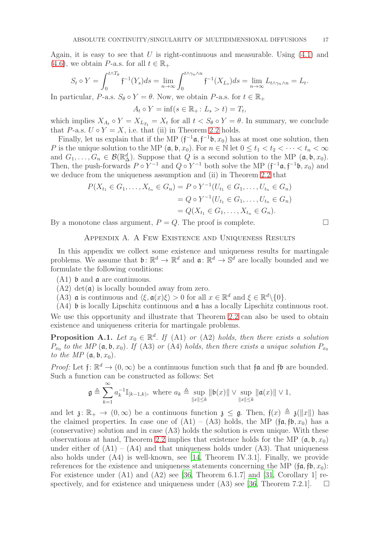Again, it is easy to see that U is right-continuous and measurable. Using  $(4.1)$  and [\(4.6\)](#page-14-0), we obtain P-a.s. for all  $t \in \mathbb{R}_+$ 

$$
S_t \circ Y = \int_0^{t \wedge T_\theta} \mathfrak{f}^{-1}(Y_s) ds = \lim_{n \to \infty} \int_0^{t \wedge \gamma_n \wedge n} \mathfrak{f}^{-1}(X_{L_s}) ds = \lim_{n \to \infty} L_{t \wedge \gamma_n \wedge n} = L_t.
$$

In particular, P-a.s.  $S_{\theta} \circ Y = \theta$ . Now, we obtain P-a.s. for  $t \in \mathbb{R}_+$ 

$$
A_t \circ Y = \inf(s \in \mathbb{R}_+ : L_s > t) = T_t,
$$

which implies  $X_{A_t} \circ Y = X_{L_{T_t}} = X_t$  for all  $t < S_\theta \circ Y = \theta$ . In summary, we conclude that P-a.s.  $U \circ Y = X$ , i.e. that (ii) in Theorem [2.2](#page-2-2) holds.

Finally, let us explain that if the MP  $(f^{-1}\mathfrak{a}, f^{-1}\mathfrak{b}, x_0)$  has at most one solution, then P is the unique solution to the MP  $(\mathfrak{a}, \mathfrak{b}, x_0)$ . For  $n \in \mathbb{N}$  let  $0 \le t_1 < t_2 < \cdots < t_n < \infty$ and  $G_1, \ldots, G_n \in \mathcal{B}(\mathbb{R}^d)$ . Suppose that Q is a second solution to the MP  $(\mathfrak{a}, \mathfrak{b}, x_0)$ . Then, the push-forwards  $P \circ Y^{-1}$  and  $Q \circ Y^{-1}$  both solve the MP  $(f^{-1}\mathfrak{a}, f^{-1}\mathfrak{b}, x_0)$  and we deduce from the uniqueness assumption and (ii) in Theorem [2.2](#page-2-2) that

$$
P(X_{t_1} \in G_1, ..., X_{t_n} \in G_n) = P \circ Y^{-1}(U_{t_1} \in G_1, ..., U_{t_n} \in G_n)
$$
  
=  $Q \circ Y^{-1}(U_{t_1} \in G_1, ..., U_{t_n} \in G_n)$   
=  $Q(X_{t_1} \in G_1, ..., X_{t_n} \in G_n)$ .

<span id="page-16-0"></span>By a monotone class argument,  $P = Q$ . The proof is complete.

### Appendix A. A Few Existence and Uniqueness Results

In this appendix we collect some existence and uniqueness results for martingale problems. We assume that  $\mathfrak{b}: \mathbb{R}^d \to \mathbb{R}^d$  and  $\mathfrak{a}: \mathbb{R}^d \to \mathbb{S}^d$  are locally bounded and we formulate the following conditions:

- (A1) b and a are continuous.
- $(A2)$  det( $\mathfrak{a}$ ) is locally bounded away from zero.
- (A3)  $\alpha$  is continuous and  $\langle \xi, \alpha(x)\xi \rangle > 0$  for all  $x \in \mathbb{R}^d$  and  $\xi \in \mathbb{R}^d \setminus \{0\}.$
- (A4) b is locally Lipschitz continuous and a has a locally Lipschitz continuous root.

We use this opportunity and illustrate that Theorem [2.2](#page-2-2) can also be used to obtain existence and uniqueness criteria for martingale problems.

<span id="page-16-1"></span>**Proposition A.1.** Let  $x_0 \in \mathbb{R}^d$ . If (A1) or (A2) holds, then there exists a solution  $P_{x_0}$  to the MP ( $\mathfrak{a}, \mathfrak{b}, x_0$ ). If (A3) or (A4) holds, then there exists a unique solution  $P_{x_0}$ to the MP  $(\mathfrak{a}, \mathfrak{b}, x_0)$ .

*Proof:* Let  $f: \mathbb{R}^d \to (0, \infty)$  be a continuous function such that  $f\mathfrak{a}$  and  $f\mathfrak{b}$  are bounded. Such a function can be constructed as follows: Set

$$
\mathfrak{g}\triangleq \sum_{k=1}^{\infty}a_k^{-1}\mathbb{I}_{[k-1,k)},\ \text{where}\ a_k\triangleq \sup_{\|x\|\leq k}\|\mathfrak{b}(x)\|\vee \sup_{\|x\|\leq k}\|\mathfrak{a}(x)\|\vee 1,
$$

and let  $\mathfrak{z} \colon \mathbb{R}_+ \to (0,\infty)$  be a continuous function  $\mathfrak{z} \leq \mathfrak{g}$ . Then,  $\mathfrak{f}(x) \triangleq \mathfrak{z}(\Vert x \Vert)$  has the claimed properties. In case one of  $(A1) - (A3)$  holds, the MP  $(f\mathfrak{a}, f\mathfrak{b}, x_0)$  has a (conservative) solution and in case (A3) holds the solution is even unique. With these observations at hand, Theorem [2.2](#page-2-2) implies that existence holds for the MP  $(a, b, x_0)$ under either of  $(A1) - (A4)$  and that uniqueness holds under  $(A3)$ . That uniqueness also holds under (A4) is well-known, see [\[14,](#page-17-12) Theorem IV.3.1]. Finally, we provide references for the existence and uniqueness statements concerning the MP ( $f\mathfrak{a}, f\mathfrak{b}, x_0$ ): For existence under (A1) and (A2) see [\[36](#page-18-7), Theorem 6.1.7] and [\[31](#page-18-10), Corollary 1] respectively, and for existence and uniqueness under  $(A3)$  see [\[36,](#page-18-7) Theorem 7.2.1].  $\Box$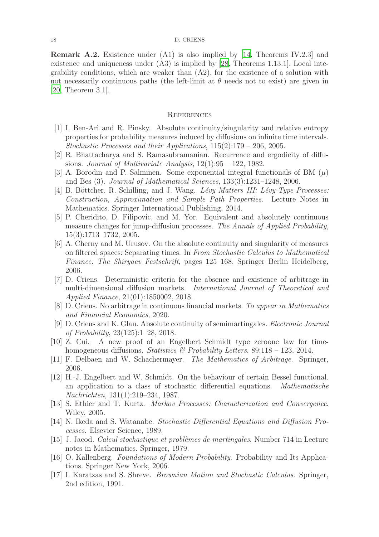Remark A.2. Existence under (A1) is also implied by [\[14](#page-17-12), Theorems IV.2.3] and existence and uniqueness under (A3) is implied by [\[28,](#page-18-6) Theorems 1.13.1]. Local integrability conditions, which are weaker than (A2), for the existence of a solution with not necessarily continuous paths (the left-limit at  $\theta$  needs not to exist) are given in [20, Theorem 3.1].

### **REFERENCES**

- <span id="page-17-2"></span>[1] I. Ben-Ari and R. Pinsky. Absolute continuity/singularity and relative entropy properties for probability measures induced by diffusions on infinite time intervals. Stochastic Processes and their Applications, 115(2):179 – 206, 2005.
- <span id="page-17-10"></span>[2] R. Bhattacharya and S. Ramasubramanian. Recurrence and ergodicity of diffusions. Journal of Multivariate Analysis,  $12(1):95 - 122$ , 1982.
- <span id="page-17-4"></span>[3] A. Borodin and P. Salminen. Some exponential integral functionals of BM  $(\mu)$ and Bes (3). Journal of Mathematical Sciences, 133(3):1231–1248, 2006.
- <span id="page-17-8"></span>[4] B. Böttcher, R. Schilling, and J. Wang. *Lévy Matters III: Lévy-Type Processes:* Construction, Approximation and Sample Path Properties. Lecture Notes in Mathematics. Springer International Publishing, 2014.
- <span id="page-17-6"></span>[5] P. Cheridito, D. Filipovic, and M. Yor. Equivalent and absolutely continuous measure changes for jump-diffusion processes. The Annals of Applied Probability, 15(3):1713–1732, 2005.
- <span id="page-17-1"></span>[6] A. Cherny and M. Urusov. On the absolute continuity and singularity of measures on filtered spaces: Separating times. In From Stochastic Calculus to Mathematical Finance: The Shiryaev Festschrift, pages 125–168. Springer Berlin Heidelberg, 2006.
- [7] D. Criens. Deterministic criteria for the absence and existence of arbitrage in multi-dimensional diffusion markets. International Journal of Theoretical and Applied Finance, 21(01):1850002, 2018.
- <span id="page-17-7"></span>[8] D. Criens. No arbitrage in continuous financial markets. To appear in Mathematics and Financial Economics, 2020.
- <span id="page-17-3"></span>[9] D. Criens and K. Glau. Absolute continuity of semimartingales. Electronic Journal of Probability, 23(125):1–28, 2018.
- <span id="page-17-5"></span>[10] Z. Cui. A new proof of an Engelbert–Schmidt type zeroone law for timehomogeneous diffusions. Statistics & Probability Letters,  $89:118 - 123$ , 2014.
- <span id="page-17-0"></span>[11] F. Delbaen and W. Schachermayer. The Mathematics of Arbitrage. Springer, 2006.
- [12] H.-J. Engelbert and W. Schmidt. On the behaviour of certain Bessel functional. an application to a class of stochastic differential equations. Mathematische Nachrichten, 131(1):219–234, 1987.
- <span id="page-17-13"></span>[13] S. Ethier and T. Kurtz. Markov Processes: Characterization and Convergence. Wiley, 2005.
- <span id="page-17-12"></span>[14] N. Ikeda and S. Watanabe. Stochastic Differential Equations and Diffusion Processes. Elsevier Science, 1989.
- <span id="page-17-9"></span>[15] J. Jacod. Calcul stochastique et problèmes de martingales. Number 714 in Lecture notes in Mathematics. Springer, 1979.
- <span id="page-17-14"></span>[16] O. Kallenberg. Foundations of Modern Probability. Probability and Its Applications. Springer New York, 2006.
- <span id="page-17-11"></span>[17] I. Karatzas and S. Shreve. Brownian Motion and Stochastic Calculus. Springer, 2nd edition, 1991.